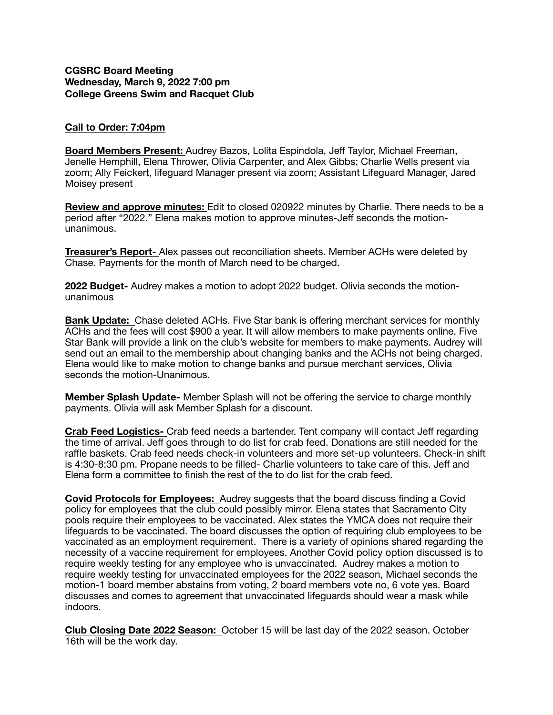## **CGSRC Board Meeting Wednesday, March 9, 2022 7:00 pm College Greens Swim and Racquet Club**

## **Call to Order: 7:04pm**

**Board Members Present:** Audrey Bazos, Lolita Espindola, Jeff Taylor, Michael Freeman, Jenelle Hemphill, Elena Thrower, Olivia Carpenter, and Alex Gibbs; Charlie Wells present via zoom; Ally Feickert, lifeguard Manager present via zoom; Assistant Lifeguard Manager, Jared Moisey present

**Review and approve minutes:** Edit to closed 020922 minutes by Charlie. There needs to be a period after "2022." Elena makes motion to approve minutes-Jeff seconds the motionunanimous.

**Treasurer's Report-** Alex passes out reconciliation sheets. Member ACHs were deleted by Chase. Payments for the month of March need to be charged.

**2022 Budget-** Audrey makes a motion to adopt 2022 budget. Olivia seconds the motionunanimous

**Bank Update:** Chase deleted ACHs. Five Star bank is offering merchant services for monthly ACHs and the fees will cost \$900 a year. It will allow members to make payments online. Five Star Bank will provide a link on the club's website for members to make payments. Audrey will send out an email to the membership about changing banks and the ACHs not being charged. Elena would like to make motion to change banks and pursue merchant services, Olivia seconds the motion-Unanimous.

**Member Splash Update-** Member Splash will not be offering the service to charge monthly payments. Olivia will ask Member Splash for a discount.

**Crab Feed Logistics-** Crab feed needs a bartender. Tent company will contact Jeff regarding the time of arrival. Jeff goes through to do list for crab feed. Donations are still needed for the raffle baskets. Crab feed needs check-in volunteers and more set-up volunteers. Check-in shift is 4:30-8:30 pm. Propane needs to be filled- Charlie volunteers to take care of this. Jeff and Elena form a committee to finish the rest of the to do list for the crab feed.

**Covid Protocols for Employees:** Audrey suggests that the board discuss finding a Covid policy for employees that the club could possibly mirror. Elena states that Sacramento City pools require their employees to be vaccinated. Alex states the YMCA does not require their lifeguards to be vaccinated. The board discusses the option of requiring club employees to be vaccinated as an employment requirement. There is a variety of opinions shared regarding the necessity of a vaccine requirement for employees. Another Covid policy option discussed is to require weekly testing for any employee who is unvaccinated. Audrey makes a motion to require weekly testing for unvaccinated employees for the 2022 season, Michael seconds the motion-1 board member abstains from voting, 2 board members vote no, 6 vote yes. Board discusses and comes to agreement that unvaccinated lifeguards should wear a mask while indoors.

**Club Closing Date 2022 Season:** October 15 will be last day of the 2022 season. October 16th will be the work day.